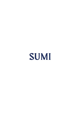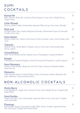## **SUMI** COCKTAILS

| Kawaii Ne<br>Sake, Suntory Roku Gin, Lychee & Peach Liqueur, Yuzu Juice, Simple Syrup,                                       | 11 |
|------------------------------------------------------------------------------------------------------------------------------|----|
| Vegan Foam                                                                                                                   |    |
| Little Wasabi<br>Suntory Haku Vodka, Homemade Japanese Shiso syrup, Lime Juice, Wasabi                                       | 12 |
| Pink Leaf<br>El Gobernador Pisco, Italicus Bergamot Rosolio, Homemade Grape & Camomile<br>Cordial, Lime Juice                | 12 |
| Sumi Gimlet<br>Suntory Roku Gin, Yellow Chartreuse, Fresh Cucumber Juice, Lime Cordial, Lime<br>Juice                        | 12 |
| Yukarita<br>Mezcal Verde, Arette Blanco Tequila, Lime & Yuzu Juice, Homemade Shiso<br>Syrup, Agave                           | 12 |
| <b>Canard Royal</b><br>Hine VSOP, Briottet lychee, Simple syrup, Champagne, Grapefruit Bitters                               | 14 |
| Kanpai<br>Tedorigawa Yamahai Daiginjo, Antica Formula Del Professore, Lychee Liqueur                                         | 15 |
| Sumi Harmony<br>Suntory Toki Whisky, Ringo shu Ume No Yado, Orange & Mandarin Bitter,<br>Agave Syrup                         | 15 |
| Momento<br>Milk Washed Suntory Chita Whisky, Green Chartreuse, Italicus Bergamot Ro-<br>solio, Absinthe, Canard Duchene brut | 15 |

# NON-ALCOHOLIC COCKTAILS

*Tea, Lime juice, Topped with Soda Water*

| <b>Pretty Berry</b><br>Fresh Raspberry, Apple juice, Lemon & Yuzu Juice, Simple Syrup, Topped with<br>Soda Water |  |
|------------------------------------------------------------------------------------------------------------------|--|
| Sumi Garden<br>Fresh Cucumber Juice, Homemade Japanese Shiso syrup, Lime juice, Topped<br>with Lemonade          |  |
| Flamingo<br>Homemade Grape & Camomile Cordial, Elder flower Cordial, Japanese Green                              |  |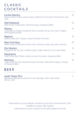## **CLASSIC** COCKTAILS

| Lychee Martini<br>Suntory Haku Vodka, Lychee Liqueur, Dolin Dry Vermouth, Fresh Lychee, Lime<br>Juice         | 10                |
|---------------------------------------------------------------------------------------------------------------|-------------------|
| Old Fashioned<br>Wild Turkey 101 Bourbon, Demerara Sugar, Angostura Bitter                                    | 12                |
| Paloma<br>Arette Blanco Tequila, Grapefruit Juice, Lavander Syrup, Lime Juice, Topped<br>with Grapefruit Soda | 11                |
| Negroni<br>Suntory Roku Gin, Campari, Antica Formula Vermouth                                                 | 12                |
| New York Sour<br>Wild Turkey 101 Bourbon, Lemon Juice, Demerara sugar, egg white, red wine                    | $12 \overline{ }$ |
| Dry Martini<br>Tangueray No. Ten Gin or Nikka Coffey Vodka, Dolin Dry Vermouth, Bitter                        | 13                |
| Manhattan<br>Wild Turkey Rye Whisky, Antica formula Vermouth, Angostura Bitter                                | 13                |
| Martinez<br>Jensen's Old Tom Gin, Antica Formula Vermouth, Maraschino Liqueur, Orange<br>& Mandarin Bitter    | 15                |

#### BEER

#### Asahi "Super Dry"

*Refreshing Japanese premium dry and crisp lager, with a clean finish. 330 ml, 5.2%*

*Please advise us of any allergies. All spirits are served as 50ml measures, 25ml available on request. VAT included. A discretionary service charge of 12.5% will be added to your bill.*

5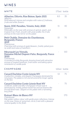#### WINES

| WHITE                                                                                                                                                                                                                                                         |     | 175ml bottle |
|---------------------------------------------------------------------------------------------------------------------------------------------------------------------------------------------------------------------------------------------------------------|-----|--------------|
| Albarino, Diluvio, Rias Baixas, Spain 2021<br>Albarino<br>Well balanced, intense and complex with notes of freshness,<br>fruits and white flowers                                                                                                             | 8.5 | 35           |
| Soave, DOC Paradiso, Veneto, Italy, 2020<br>Garganega<br>Minerality on the nose with aromas of apricot, peach, and<br>tropical fruit. Fresh, smooth with great acidity, the fruity<br>aromas on the nose mirror on the palate                                 | 11  | 40           |
| Petit Chablis, Domaine du Chardonnay,<br><b>Burgundy, France</b><br>2019<br>Chardonnay<br>Charming with aromas of apple blossom, freshly picked gran-<br>ny smith and notes of hawthorn                                                                       | 15  | 70           |
| <b>Meursault Les Vireuils,</b><br>Domaine Michel Dupont-Fahn, Burgundy, Fance<br>2020<br>Chardonnay<br>A wonderful white Burgundy showing breed with attractive<br>aromas of toasted hazelnuts, fresh butter and baking spices<br>reminiscent of vanilla pods |     | 110          |
| CHAMPAGNE                                                                                                                                                                                                                                                     |     | 125ml bottle |
| Canard Duchêne Cuvée Léonie NV<br>A seductive, complex, and elegant Champagne dominated by<br>red grapes. The palate is rich and structured by longer ageing<br>on the lees                                                                                   | 13  | 75           |
| Canard Duchêne Cuvée Léonie Rosé NV<br>A delicate, subtle and silky Champagne whose nose is<br>dominated by freshly picked red berries and red flowers like<br>iris and dried roses. Elegant on the palate with a refreshing<br>long finish                   |     | 75           |
| <b>Ruinart Blanc de Blancs NV</b><br>Chardonnay<br>Pale golden yellow colour with gentle green reflections. Intense<br>on the nose. Notes of nectarines, citrus fruits with a pleasant<br>mineral quality in the finish                                       |     | 170          |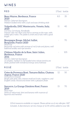#### WINES

| <b>RED</b>                                                                                                                                                                                                                       | 175ml bottle |     |
|----------------------------------------------------------------------------------------------------------------------------------------------------------------------------------------------------------------------------------|--------------|-----|
| Beau Mayne, Bordeaux, France<br>2020<br>Merlot, Cabernet Sauvignon.<br>Medium bodied wine with a soft and easy drinking style                                                                                                    | 8.5          | 35  |
| Valpolicella, DOC Montecurto, Veneto, Italy,<br>2020<br>Corvina, Corvinone, Rondinella<br>Intense ruby red. Plum and cherry aromas on the nose, with<br>subtle spicy notes. The palate is fresh and fruity with a good<br>length | 11           | 40  |
| Bourgogne Rouge, Michel Juillot,<br>Burgundy, France 2020<br>Pinot noir<br>Burgundy red wine with aromas of red fruits and plums, well<br>balanced acidity and ripe tannins                                                      |              | 70  |
| Château Moulin de la Rose, Saint Julien,<br>Bordeaux, France<br>2016<br>Merlot, Cabernet Sauvignon<br>A complex, medium to full-bodied wine whose tannins are<br>finely grained with wonderful energy and freshness              |              | 105 |
| ROSÉ                                                                                                                                                                                                                             | 175ml bottle |     |
| Cotes de Provence Rosé, Tomares Ballus, Chateau<br>Aspras, France 2020<br>Grenache & Cinsault<br>Bright pale pink color, intense small red fruits, raspberry, and<br>English candy. Round and sweet with a pleasant finish       | 12.          | 50  |
| Sancerre, La Grange Dimières Rosé, France<br>2019<br>Pinot Noir<br>Hints of redcurrant, kiwi and banana with nuances of<br>liquorice and menthol                                                                                 | 15           | 70  |

*125ml measures available on request. Please advise us of any allergies. VAT included. A discretionary service charge of 12.5% will be added to your bill.*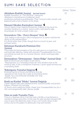# SUMI SAKE SELECTION

|                                                                                                                                                                                                                                                                                                                               |    | 100ml 720ml |
|-------------------------------------------------------------------------------------------------------------------------------------------------------------------------------------------------------------------------------------------------------------------------------------------------------------------------------|----|-------------|
| Akitabare Koshiki Junmai (served warm)<br>Koshiki Junzukuri, or "The Old Way," references<br>Akitabare's commitment to traditional. small<br>production methods and philosophy. Their Junmai is mild, smooth, and<br>balanced with a hint of butter on the finish.                                                            | 12 |             |
| Masumi Okuden Kantsukuri Junmai $\bullet$<br>One of Japan's most respected breweries. A blend of two local rice<br>varieties resulting in a creamy texture with a soft peachy edge.<br>Surprisingly dry with a bright fruity core.                                                                                            | 14 | 80          |
| Dewazakura "Oka - Cherry Bouquet" Ginjo ♦<br>Soft-feeling on the tongue. Oka's transparency of flavor matches the<br>clarity of the colorless liquor<br>It is floral rather than fruity, though there is a touch of pear, and<br>perhaps melon.                                                                               | 16 | 86          |
| Sohomare Karakuchi Premium Dry<br>Junmai<br>This masterful interpretation of the dry sake genre is a crystal clear<br>and bracingly delicious. Made with premium Yamadanishiki rice, it has<br>everything you look for in a Junmai: flavour, clarity and impeccable<br>structure.                                             | 17 | 95          |
| Dewazakura "Dewasansan - Green Ridge" Junmai Ginjo<br>With its floral nose and mellow fruity flavor,<br>"Dkewasansan" is a rewarding choice for wine drinkers new to the<br>world of sake. It has a wholesome freshness, a green apple tartness and<br>a refreshing finish.                                                   | 17 | 95          |
| Tedorigawa Yamahai Daiginjo ♦<br>Enticing imprint of honey and herbs at first sip,<br>segueing at mid-range into a sake of surprising clarity.<br>Supple, racy and eminently drinkable over long<br>periods of time.                                                                                                          | 21 | 115         |
| Koshi no Kanbai "Muku" Junmai Daiginjo<br>Classic Niigata sake with subdued aroma, nuanced acidity and perfect<br>balance. Presents rich interplay<br>of flavors and a satisfying finish. Made from Yamadanishiki rice for a<br>rich, yet transparently clear, flavour profile.                                               | 22 | 120         |
| Ume no yado Yuzushu Yuzu<br>Yuzu is a Japanese citrus fruit that taste a bit like a cross between a<br>mandarin orange and a lime. In this case the sake has been infused with<br>yuzu to give it its distinctive style. It has a very lovely floral, fruity<br>aroma, and on the palate it is deliciously crisp and moreish. | 11 | 70          |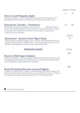|                                                                                                                                                                                                                                                                         | 100ml 720ml |             |
|-------------------------------------------------------------------------------------------------------------------------------------------------------------------------------------------------------------------------------------------------------------------------|-------------|-------------|
| Ume no yado Ringoshu Apple<br>A premium liqueur which utilizes fresh Japanese Fuji apple puree<br>giving the sake a sweeter, refreshing and more nectar-like aroma.                                                                                                     | 11          | 70          |
| Kamoizumi "Umeshu - Umelicious"<br>Sweetness, acidity and piquant plum flavour<br>distinguish this<br>lovely low-alcohol aperitif. Green plums provide the tartness, artisan<br>rock sugar the sweetness and pure Junmai sake the satisfying<br>balance and smoothness. | 12          | 80          |
| Kamoizumi - Summer Snow Nigori Ginjo<br>This premium unfiltered sake is rich, creamy and brimming with exu-<br>berant natural flavour. Mildly sweet, yet surprisingly robust, it is an<br>excellent introduction to the world of sake enjoyment.                        |             | 500ml<br>75 |
| <b>PREMIUM SAKES</b>                                                                                                                                                                                                                                                    | 720ml       |             |
|                                                                                                                                                                                                                                                                         | 200         |             |
| Kuzuryu Silk Dragon Daiginjo<br>Svelte and smooth, with satisfying traditional taste due in part to care-<br>ful aging. Mysterious, deep forest flavour with notes of banana and<br>cocoa. Medium-bodied, perfectly balanced.                                           |             |             |
| Koshi No Kanbai Kinmuku Junmai Daiginjo<br>A delicate, refined sake. So light, it's like drinking the purest water, but<br>with a profound flavour that gives you something to chew on. Kinmu-<br>ku means pure gold, and this is exactly that. Pure, liquid gold.      | 280         |             |

*\* Can be served warm*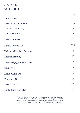### **JAPANESE** WHISKIES

|                             | 50ml |
|-----------------------------|------|
| <b>Suntory Toki</b>         | 10   |
| Nikka from the Barrel       | 12.5 |
| The Chita Whiskey           | 13   |
| <b>Taketsuru Pure Malt</b>  | 13   |
| Nikka Coffey Grain          | 13.5 |
| Nikka Coffey Malt           | 13.5 |
| Hakushu Distillers Reserve  | 14   |
| Hibiki Harmony              | 15   |
| Nikka Miyagikio Single Malt | 16   |
| Nikka Yoichi                | 16   |
| Kaiyo Mizunara              | 18   |
| Yamazaki 12                 | 24   |
| Nikka Tailored              | 30   |
| Nikka Pure Malt Black       | 32   |

*When it comes to Japanese whiskies and sake, the demand far outweighs the offer. We go to great lenghts to make sure we have a continuous supply, shipping from all over the world to bring you the best, most sought after whiskies.*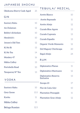#### JAPANESE SHOCHU

| Okokuma Sherry Cask-Aged<br>25 |      | TEQUILA/ MEZCAL                  |    |
|--------------------------------|------|----------------------------------|----|
|                                |      | <b>Arette Blanco</b>             | 10 |
| GIN                            |      | Arette Reposado                  | 11 |
| <b>Suntory Roku</b>            | 10   | Arette Añejo                     | 12 |
| An Dulaman                     | 12   | <b>Curado Blue Agave</b>         | 13 |
| Bobby's Schiedam               | 10   | Curado Cupreata                  | 13 |
| Hendrick's                     | 10   | Curado Espadin                   | 13 |
| Jensen's Old Tom               | 12   | Organic Verde Momento            | 12 |
| Ki No Bi                       | 13   | Del Maguey Chichicapa            | 20 |
| Ki No Tea                      | 14   | Ilegal Añejo                     | 24 |
| Monkey 47                      | 16   | RUM                              |    |
| Nikka Coffey                   | 13   |                                  |    |
| Portobello Road                | 10   | <b>Diplomatico Planas</b>        | 11 |
| Tanqueray N° Ten               | 13   | Diplomático Mantuano             | 12 |
| VODKA                          |      | Diplomatico Reserva<br>Exclusiva | 13 |
|                                |      | Zacapa 23                        | 17 |
| <b>Suntory Haku</b>            | 10   | Flor de Caña 12yr                | 10 |
| <b>Grey Goose</b>              |      | 13.5 Plantation Pineapple        | 11 |
| <b>Kavka</b>                   | 11   | Plantation Gran Añejo            | 12 |
| Nikka Coffey                   | 13   |                                  |    |
| Beluga Russian                 | 12.5 |                                  |    |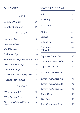#### WHISKIES

| Blend                                             |    |
|---------------------------------------------------|----|
| <b>Johnnie Walker</b>                             | 10 |
| <b>Monkey Shoulder</b>                            | 10 |
| Single malt                                       |    |
| Ardbeg 10yr                                       | 13 |
| Auchentoshan                                      | 11 |
| Caol Ila 18yr                                     | 25 |
| Dalmore 15yr                                      | 20 |
| Glenfiddich 21yr Rum Cask                         | 45 |
| <b>Highland Park 12yr</b>                         | 10 |
| Lagavulin 16 yr                                   | 18 |
| Macallan 12yrs Sherry Oak                         | 16 |
| Talisker Port Ruighe                              | 15 |
| American                                          |    |
| Wild Turkey 101                                   | 10 |
| <b>Wild Turkey Rye</b>                            | 10 |
| <b>Blanton's Original Single</b><br><b>Barrel</b> | 16 |

| WATERS 750ml                  |     |  |  |
|-------------------------------|-----|--|--|
| <b>Still</b>                  | 4   |  |  |
| Sparkling                     | 4   |  |  |
| <b>JUICES</b>                 |     |  |  |
| Apple                         | 3.5 |  |  |
| Orange                        | 3.5 |  |  |
| Cranberry                     | 3.5 |  |  |
| Pineapple<br>TEAS             | 3.5 |  |  |
| <b>Japanese Green Tea</b>     | 3.5 |  |  |
| Japanese Genmai cha           | 3.5 |  |  |
| Japanese Soba cha             | 3.5 |  |  |
| SOFT DRINKS                   |     |  |  |
| <b>Fever Tree Ginger Ale</b>  | 3.5 |  |  |
| <b>Fever Tree Lemonade</b>    | 3.5 |  |  |
| <b>Fever Tree Ginger Beer</b> | 3.5 |  |  |
| Coca-Cola                     | 3.5 |  |  |
| <b>Diet Coke</b>              | 3.5 |  |  |
| <b>Pink Grapefruit Soda</b>   | 3.5 |  |  |